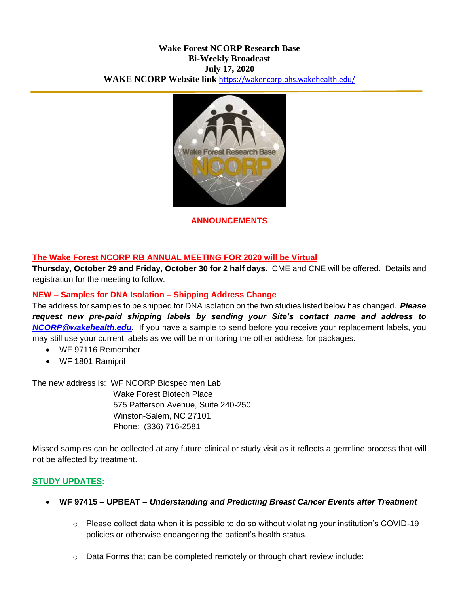## **Wake Forest NCORP Research Base Bi-Weekly Broadcast July 17, 2020 WAKE NCORP Website link** <https://wakencorp.phs.wakehealth.edu/>



**ANNOUNCEMENTS**

## **The Wake Forest NCORP RB ANNUAL MEETING FOR 2020 will be Virtual**

**Thursday, October 29 and Friday, October 30 for 2 half days.** CME and CNE will be offered. Details and registration for the meeting to follow.

## **NEW – Samples for DNA Isolation – Shipping Address Change**

The address for samples to be shipped for DNA isolation on the two studies listed below has changed. *Please request new pre-paid shipping labels by sending your Site's contact name and address to [NCORP@wakehealth.edu](mailto:NCORP@wakehealth.edu)***.** If you have a sample to send before you receive your replacement labels, you may still use your current labels as we will be monitoring the other address for packages.

- WF 97116 Remember
- WF 1801 Ramipril

The new address is: WF NCORP Biospecimen Lab

Wake Forest Biotech Place 575 Patterson Avenue, Suite 240-250 Winston-Salem, NC 27101 Phone: (336) 716-2581

Missed samples can be collected at any future clinical or study visit as it reflects a germline process that will not be affected by treatment.

### **STUDY UPDATES:**

### **WF 97415 – UPBEAT –** *Understanding and Predicting Breast Cancer Events after Treatment*

- o Please collect data when it is possible to do so without violating your institution's COVID-19 policies or otherwise endangering the patient's health status.
- $\circ$  Data Forms that can be completed remotely or through chart review include: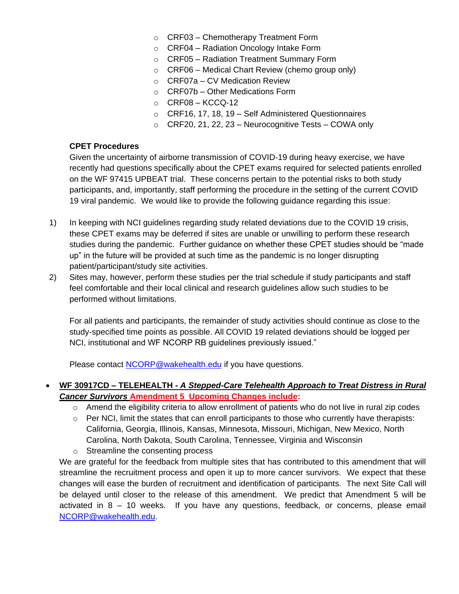- o CRF03 Chemotherapy Treatment Form
- o CRF04 Radiation Oncology Intake Form
- o CRF05 Radiation Treatment Summary Form
- $\circ$  CRF06 Medical Chart Review (chemo group only)
- $\circ$  CRF07a CV Medication Review
- $\circ$  CRF07b Other Medications Form
- $\circ$  CRF08 KCCQ-12
- o CRF16, 17, 18, 19 Self Administered Questionnaires
- $\circ$  CRF20, 21, 22, 23 Neurocognitive Tests COWA only

### **CPET Procedures**

Given the uncertainty of airborne transmission of COVID-19 during heavy exercise, we have recently had questions specifically about the CPET exams required for selected patients enrolled on the WF 97415 UPBEAT trial. These concerns pertain to the potential risks to both study participants, and, importantly, staff performing the procedure in the setting of the current COVID 19 viral pandemic. We would like to provide the following guidance regarding this issue:

- 1) In keeping with NCI guidelines regarding study related deviations due to the COVID 19 crisis, these CPET exams may be deferred if sites are unable or unwilling to perform these research studies during the pandemic. Further guidance on whether these CPET studies should be "made up" in the future will be provided at such time as the pandemic is no longer disrupting patient/participant/study site activities.
- 2) Sites may, however, perform these studies per the trial schedule if study participants and staff feel comfortable and their local clinical and research guidelines allow such studies to be performed without limitations.

For all patients and participants, the remainder of study activities should continue as close to the study-specified time points as possible. All COVID 19 related deviations should be logged per NCI, institutional and WF NCORP RB guidelines previously issued."

Please contact [NCORP@wakehealth.edu](mailto:NCORP@wakehealth.edu) if you have questions.

## **WF 30917CD – TELEHEALTH -** *A Stepped-Care Telehealth Approach to Treat Distress in Rural Cancer Survivors* **Amendment 5 Upcoming Changes include:**

- $\circ$  Amend the eligibility criteria to allow enrollment of patients who do not live in rural zip codes
- $\circ$  Per NCI, limit the states that can enroll participants to those who currently have therapists: California, Georgia, Illinois, Kansas, Minnesota, Missouri, Michigan, New Mexico, North Carolina, North Dakota, South Carolina, Tennessee, Virginia and Wisconsin
- o Streamline the consenting process

We are grateful for the feedback from multiple sites that has contributed to this amendment that will streamline the recruitment process and open it up to more cancer survivors. We expect that these changes will ease the burden of recruitment and identification of participants. The next Site Call will be delayed until closer to the release of this amendment. We predict that Amendment 5 will be activated in 8 – 10 weeks. If you have any questions, feedback, or concerns, please email [NCORP@wakehealth.edu.](mailto:NCORP@wakehealth.edu)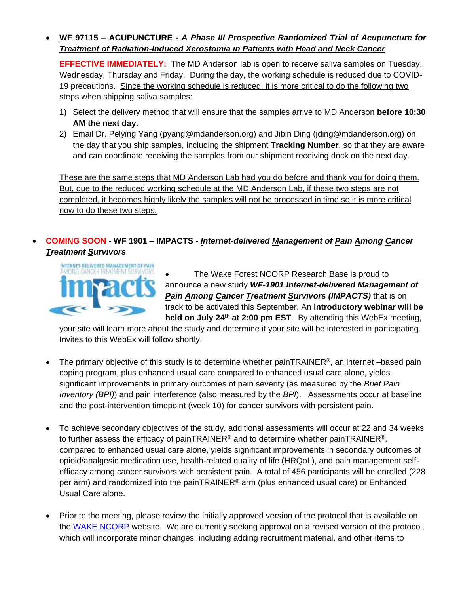# **WF 97115 – ACUPUNCTURE -** *A Phase III Prospective Randomized Trial of Acupuncture for Treatment of Radiation-Induced Xerostomia in Patients with Head and Neck Cancer*

**EFFECTIVE IMMEDIATELY:** The MD Anderson lab is open to receive saliva samples on Tuesday, Wednesday, Thursday and Friday. During the day, the working schedule is reduced due to COVID-19 precautions. Since the working schedule is reduced, it is more critical to do the following two steps when shipping saliva samples:

- 1) Select the delivery method that will ensure that the samples arrive to MD Anderson **before 10:30 AM the next day.**
- 2) Email Dr. Pelying Yang [\(pyang@mdanderson.org\)](mailto:pyang@mdanderson.org) and Jibin Ding [\(jding@mdanderson.org\)](mailto:jding@mdanderson.org) on the day that you ship samples, including the shipment **Tracking Number**, so that they are aware and can coordinate receiving the samples from our shipment receiving dock on the next day.

These are the same steps that MD Anderson Lab had you do before and thank you for doing them. But, due to the reduced working schedule at the MD Anderson Lab, if these two steps are not completed, it becomes highly likely the samples will not be processed in time so it is more critical now to do these two steps.

# **COMING SOON - WF 1901 – IMPACTS -** *Internet-delivered Management of Pain Among Cancer Treatment Survivors*



 The Wake Forest NCORP Research Base is proud to announce a new study *WF-1901 Internet-delivered Management of Pain Among Cancer Treatment Survivors (IMPACTS)* that is on track to be activated this September. An **introductory webinar will be held on July 24th at 2:00 pm EST**. By attending this WebEx meeting,

your site will learn more about the study and determine if your site will be interested in participating. Invites to this WebEx will follow shortly.

- The primary objective of this study is to determine whether painTRAINER<sup>®</sup>, an internet –based pain coping program, plus enhanced usual care compared to enhanced usual care alone, yields significant improvements in primary outcomes of pain severity (as measured by the *Brief Pain Inventory (BPI)*) and pain interference (also measured by the *BPI*). Assessments occur at baseline and the post-intervention timepoint (week 10) for cancer survivors with persistent pain.
- To achieve secondary objectives of the study, additional assessments will occur at 22 and 34 weeks to further assess the efficacy of painTRAINER® and to determine whether painTRAINER®, compared to enhanced usual care alone, yields significant improvements in secondary outcomes of opioid/analgesic medication use, health-related quality of life (HRQoL), and pain management selfefficacy among cancer survivors with persistent pain. A total of 456 participants will be enrolled (228 per arm) and randomized into the painTRAINER® arm (plus enhanced usual care) or Enhanced Usual Care alone.
- Prior to the meeting, please review the initially approved version of the protocol that is available on the [WAKE NCORP](https://wakencorp.phs.wakehealth.edu/) website. We are currently seeking approval on a revised version of the protocol, which will incorporate minor changes, including adding recruitment material, and other items to